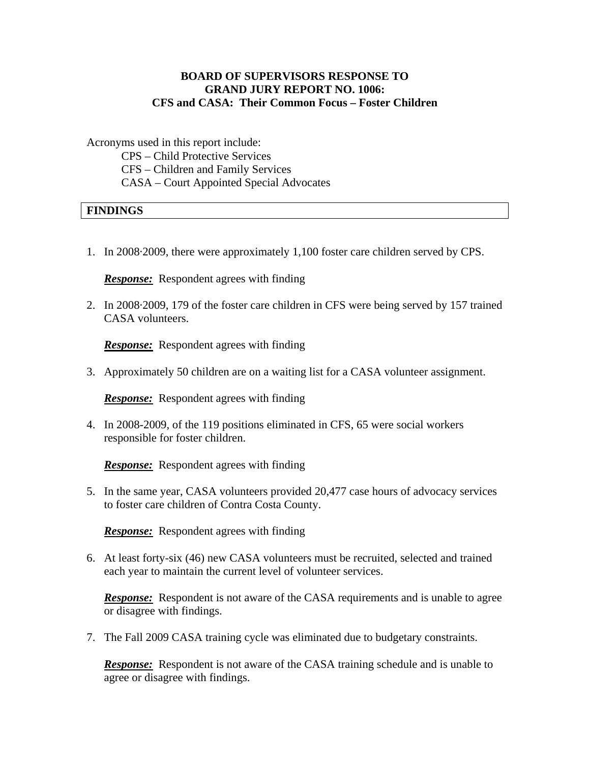## **BOARD OF SUPERVISORS RESPONSE TO GRAND JURY REPORT NO. 1006: CFS and CASA: Their Common Focus – Foster Children**

Acronyms used in this report include:

 CPS – Child Protective Services CFS – Children and Family Services CASA – Court Appointed Special Advocates

## **FINDINGS**

1. In 2008·2009, there were approximately 1,100 foster care children served by CPS.

*Response:*Respondent agrees with finding

2. In 2008·2009, 179 of the foster care children in CFS were being served by 157 trained CASA volunteers.

**Response:** Respondent agrees with finding

3. Approximately 50 children are on a waiting list for a CASA volunteer assignment.

*Response:*Respondent agrees with finding

4. In 2008-2009, of the 119 positions eliminated in CFS, 65 were social workers responsible for foster children.

*Response:*Respondent agrees with finding

5. In the same year, CASA volunteers provided 20,477 case hours of advocacy services to foster care children of Contra Costa County.

*Response:*Respondent agrees with finding

6. At least forty-six (46) new CASA volunteers must be recruited, selected and trained each year to maintain the current level of volunteer services.

*Response:* Respondent is not aware of the CASA requirements and is unable to agree or disagree with findings.

7. The Fall 2009 CASA training cycle was eliminated due to budgetary constraints.

*Response:*Respondent is not aware of the CASA training schedule and is unable to agree or disagree with findings.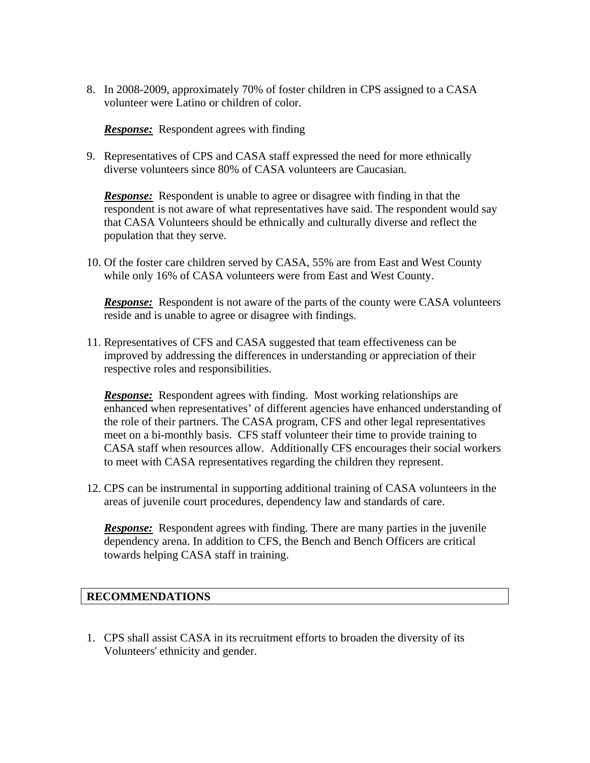8. In 2008-2009, approximately 70% of foster children in CPS assigned to a CASA volunteer were Latino or children of color.

*Response:* Respondent agrees with finding

9. Representatives of CPS and CASA staff expressed the need for more ethnically diverse volunteers since 80% of CASA volunteers are Caucasian.

*Response:* Respondent is unable to agree or disagree with finding in that the respondent is not aware of what representatives have said. The respondent would say that CASA Volunteers should be ethnically and culturally diverse and reflect the population that they serve.

10. Of the foster care children served by CASA, 55% are from East and West County while only 16% of CASA volunteers were from East and West County.

*Response:* Respondent is not aware of the parts of the county were CASA volunteers reside and is unable to agree or disagree with findings.

11. Representatives of CFS and CASA suggested that team effectiveness can be improved by addressing the differences in understanding or appreciation of their respective roles and responsibilities.

*Response:* Respondent agrees with finding. Most working relationships are enhanced when representatives' of different agencies have enhanced understanding of the role of their partners. The CASA program, CFS and other legal representatives meet on a bi-monthly basis. CFS staff volunteer their time to provide training to CASA staff when resources allow. Additionally CFS encourages their social workers to meet with CASA representatives regarding the children they represent.

12. CPS can be instrumental in supporting additional training of CASA volunteers in the areas of juvenile court procedures, dependency law and standards of care.

**Response:** Respondent agrees with finding. There are many parties in the juvenile dependency arena. In addition to CFS, the Bench and Bench Officers are critical towards helping CASA staff in training.

## **RECOMMENDATIONS**

1. CPS shall assist CASA in its recruitment efforts to broaden the diversity of its Volunteers' ethnicity and gender.